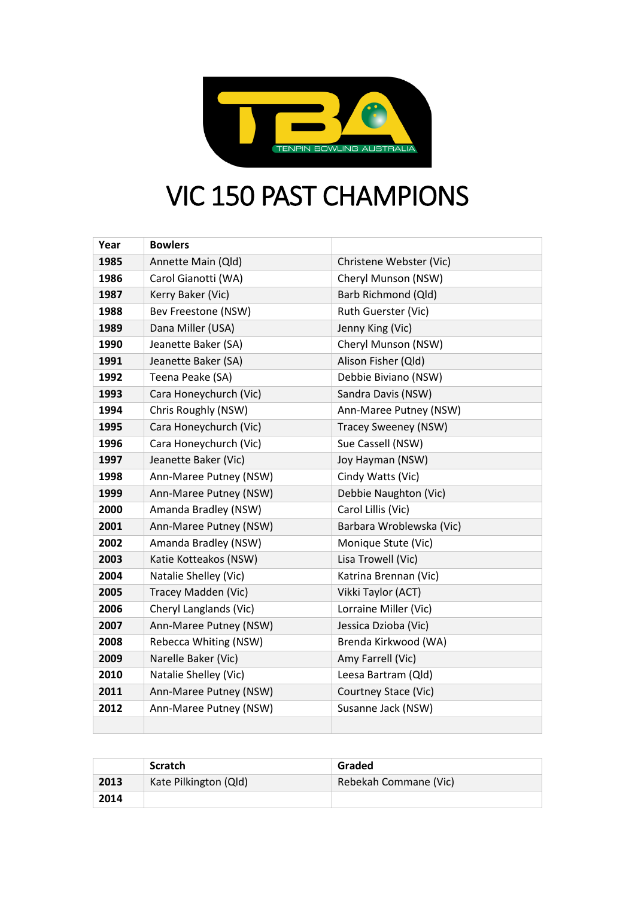

## VIC 150 PAST CHAMPIONS

| Year | <b>Bowlers</b>         |                             |
|------|------------------------|-----------------------------|
| 1985 | Annette Main (Qld)     | Christene Webster (Vic)     |
| 1986 | Carol Gianotti (WA)    | Cheryl Munson (NSW)         |
| 1987 | Kerry Baker (Vic)      | Barb Richmond (Qld)         |
| 1988 | Bev Freestone (NSW)    | Ruth Guerster (Vic)         |
| 1989 | Dana Miller (USA)      | Jenny King (Vic)            |
| 1990 | Jeanette Baker (SA)    | Cheryl Munson (NSW)         |
| 1991 | Jeanette Baker (SA)    | Alison Fisher (Qld)         |
| 1992 | Teena Peake (SA)       | Debbie Biviano (NSW)        |
| 1993 | Cara Honeychurch (Vic) | Sandra Davis (NSW)          |
| 1994 | Chris Roughly (NSW)    | Ann-Maree Putney (NSW)      |
| 1995 | Cara Honeychurch (Vic) | <b>Tracey Sweeney (NSW)</b> |
| 1996 | Cara Honeychurch (Vic) | Sue Cassell (NSW)           |
| 1997 | Jeanette Baker (Vic)   | Joy Hayman (NSW)            |
| 1998 | Ann-Maree Putney (NSW) | Cindy Watts (Vic)           |
| 1999 | Ann-Maree Putney (NSW) | Debbie Naughton (Vic)       |
| 2000 | Amanda Bradley (NSW)   | Carol Lillis (Vic)          |
| 2001 | Ann-Maree Putney (NSW) | Barbara Wroblewska (Vic)    |
| 2002 | Amanda Bradley (NSW)   | Monique Stute (Vic)         |
| 2003 | Katie Kotteakos (NSW)  | Lisa Trowell (Vic)          |
| 2004 | Natalie Shelley (Vic)  | Katrina Brennan (Vic)       |
| 2005 | Tracey Madden (Vic)    | Vikki Taylor (ACT)          |
| 2006 | Cheryl Langlands (Vic) | Lorraine Miller (Vic)       |
| 2007 | Ann-Maree Putney (NSW) | Jessica Dzioba (Vic)        |
| 2008 | Rebecca Whiting (NSW)  | Brenda Kirkwood (WA)        |
| 2009 | Narelle Baker (Vic)    | Amy Farrell (Vic)           |
| 2010 | Natalie Shelley (Vic)  | Leesa Bartram (Qld)         |
| 2011 | Ann-Maree Putney (NSW) | Courtney Stace (Vic)        |
| 2012 | Ann-Maree Putney (NSW) | Susanne Jack (NSW)          |
|      |                        |                             |

|      | <b>Scratch</b>        | Graded                |
|------|-----------------------|-----------------------|
| 2013 | Kate Pilkington (Qld) | Rebekah Commane (Vic) |
| 2014 |                       |                       |